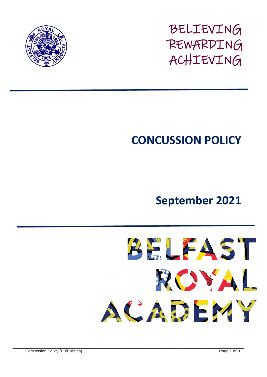

BELIEVING REWARDING ACHIEVING

# **CONCUSSION POLICY**

## **September 2021**



\_\_\_\_\_\_\_\_\_\_\_\_\_\_\_\_\_\_\_\_\_\_\_\_\_\_\_\_\_\_\_\_\_\_\_\_\_\_\_\_\_\_\_\_\_\_\_\_\_\_\_\_\_\_\_\_\_\_\_\_\_\_\_\_\_\_\_\_\_\_\_\_\_\_\_\_\_\_\_\_\_\_\_\_\_\_\_\_\_\_\_\_\_\_\_\_\_\_\_\_\_\_\_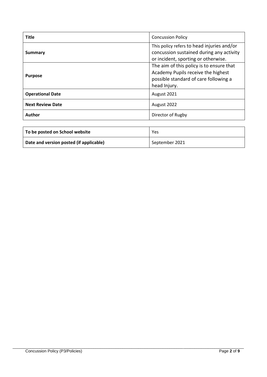| <b>Title</b>            | <b>Concussion Policy</b>                                                                                                                                                                                                                                                 |  |
|-------------------------|--------------------------------------------------------------------------------------------------------------------------------------------------------------------------------------------------------------------------------------------------------------------------|--|
| Summary                 | This policy refers to head injuries and/or<br>concussion sustained during any activity<br>or incident, sporting or otherwise.<br>The aim of this policy is to ensure that<br>Academy Pupils receive the highest<br>possible standard of care following a<br>head Injury. |  |
| <b>Purpose</b>          |                                                                                                                                                                                                                                                                          |  |
| <b>Operational Date</b> | August 2021                                                                                                                                                                                                                                                              |  |
| <b>Next Review Date</b> | August 2022                                                                                                                                                                                                                                                              |  |
| Author                  | Director of Rugby                                                                                                                                                                                                                                                        |  |

| To be posted on School website          | Yes            |
|-----------------------------------------|----------------|
| Date and version posted (if applicable) | September 2021 |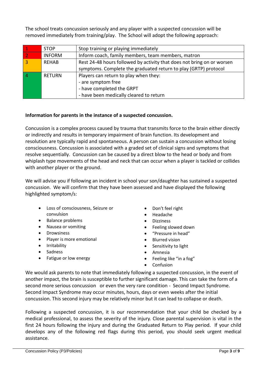The school treats concussion seriously and any player with a suspected concussion will be removed immediately from training/play. The School will adopt the following approach:

|                | <b>STOP</b>   | Stop training or playing immediately                                   |
|----------------|---------------|------------------------------------------------------------------------|
| $\overline{2}$ | <b>INFORM</b> | Inform coach, family members, team members, matron                     |
| $\overline{3}$ | REHAB         | Rest 24-48 hours followed by activity that does not bring on or worsen |
|                |               | symptoms. Complete the graduated return to play (GRTP) protocol        |
| $\vert 4$      | <b>RETURN</b> | Players can return to play when they:                                  |
|                |               | - are symptom free                                                     |
|                |               | - have completed the GRPT                                              |
|                |               | - have been medically cleared to return                                |

#### **Information for parents in the instance of a suspected concussion.**

Concussion is a complex process caused by trauma that transmits force to the brain either directly or indirectly and results in temporary impairment of brain function. Its development and resolution are typically rapid and spontaneous. A person can sustain a concussion without losing consciousness. Concussion is associated with a graded set of clinical signs and symptoms that resolve sequentially. Concussion can be caused by a direct blow to the head or body and from whiplash type movements of the head and neck that can occur when a player is tackled or collides with another player or the ground.

We will advise you if following an incident in school your son/daughter has sustained a suspected concussion. We will confirm that they have been assessed and have displayed the following highlighted symptom/s:

- Loss of consciousness, Seizure or convulsion
- Balance problems
- Nausea or vomiting
- Drowsiness
- Player is more emotional
- Irritability
- Sadness
- Fatigue or low energy
- Don't feel right
- Headache
- **Dizziness**
- Feeling slowed down
- "Pressure in head"
- Blurred vision
- Sensitivity to light
- Amnesia
- Feeling like "in a fog"
- Confusion

We would ask parents to note that immediately following a suspected concussion, in the event of another impact, the brain is susceptible to further significant damage. This can take the form of a second more serious concussion or even the very rare condition - Second Impact Syndrome. Second Impact Syndrome may occur minutes, hours, days or even weeks after the initial concussion. This second injury may be relatively minor but it can lead to collapse or death.

Following a suspected concussion, it is our recommendation that your child be checked by a medical professional, to assess the severity of the injury. Close parental supervision is vital in the first 24 hours following the injury and during the Graduated Return to Play period. If your child develops any of the following red flags during this period, you should seek urgent medical assistance.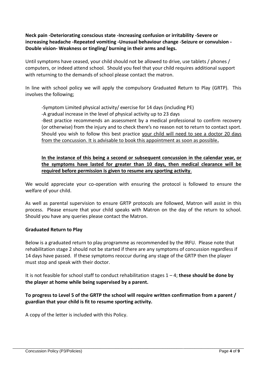**Neck pain -Deteriorating conscious state -Increasing confusion or irritability -Severe or increasing headache -Repeated vomiting -Unusual behaviour change -Seizure or convulsion - Double vision- Weakness or tingling/ burning in their arms and legs.** 

Until symptoms have ceased, your child should not be allowed to drive, use tablets / phones / computers, or indeed attend school. Should you feel that your child requires additional support with returning to the demands of school please contact the matron.

In line with school policy we will apply the compulsory Graduated Return to Play (GRTP). This involves the following;

-Symptom Limited physical activity/ exercise for 14 days (including PE) -A gradual increase in the level of physical activity up to 23 days -Best practice recommends an assessment by a medical professional to confirm recovery (or otherwise) from the injury and to check there's no reason not to return to contact sport. Should you wish to follow this best practice your child will need to see a doctor 20 days from the concussion. It is advisable to book this appointment as soon as possible**.** 

#### **In the instance of this being a second or subsequent concussion in the calendar year, or the symptoms have lasted for greater than 10 days, then medical clearance will be required before permission is given to resume any sporting activity**.

We would appreciate your co-operation with ensuring the protocol is followed to ensure the welfare of your child.

As well as parental supervision to ensure GRTP protocols are followed, Matron will assist in this process. Please ensure that your child speaks with Matron on the day of the return to school. Should you have any queries please contact the Matron.

#### **Graduated Return to Play**

Below is a graduated return to play programme as recommended by the IRFU. Please note that rehabilitation stage 2 should not be started if there are any symptoms of concussion regardless if 14 days have passed. If these symptoms reoccur during any stage of the GRTP then the player must stop and speak with their doctor.

It is not feasible for school staff to conduct rehabilitation stages 1 – 4; **these should be done by the player at home while being supervised by a parent.**

#### **To progress to Level 5 of the GRTP the school will require written confirmation from a parent / guardian that your child is fit to resume sporting activity.**

A copy of the letter is included with this Policy.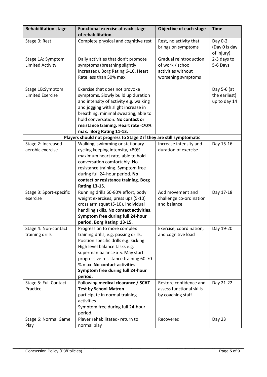| <b>Rehabilitation stage</b>                  | <b>Functional exercise at each stage</b><br>of rehabilitation                                                                                                                                                                                                                                              | Objective of each stage                                                                | <b>Time</b>                                  |
|----------------------------------------------|------------------------------------------------------------------------------------------------------------------------------------------------------------------------------------------------------------------------------------------------------------------------------------------------------------|----------------------------------------------------------------------------------------|----------------------------------------------|
| Stage 0: Rest                                | Complete physical and cognitive rest                                                                                                                                                                                                                                                                       | Rest, no activity that<br>brings on symptoms                                           | Day 0-2<br>(Day 0 is day<br>of injury)       |
| Stage 1A: Symptom<br><b>Limited Activity</b> | Daily activities that don't promote<br>symptoms (breathing slightly<br>increased). Borg Rating 6-10. Heart<br>Rate less than 50% max.                                                                                                                                                                      | Gradual reintroduction<br>of work / school<br>activities without<br>worsening symptoms | 2-3 days to<br>5-6 Days                      |
| Stage 1B:Symptom<br><b>Limited Exercise</b>  | Exercise that does not provoke<br>symptoms. Slowly build up duration<br>and intensity of activity e.g. walking<br>and jogging with slight increase in<br>breathing, minimal sweating, able to<br>hold conversation. No contact or<br>resistance training. Heart rate <70%<br>max. Borg Rating 11-13.       |                                                                                        | Day 5-6 (at<br>the earliest)<br>up to day 14 |
|                                              | Players should not progress to Stage 2 if they are still symptomatic                                                                                                                                                                                                                                       |                                                                                        |                                              |
| Stage 2: Increased<br>aerobic exercise       | Walking, swimming or stationary<br>cycling keeping intensity, <80%<br>maximum heart rate, able to hold<br>conversation comfortably. No<br>resistance training. Symptom free<br>during full 24-hour period. No<br>contact or resistance training. Borg                                                      | Increase intensity and<br>duration of exercise                                         | Day 15-16                                    |
| Stage 3: Sport-specific<br>exercise          | <b>Rating 13-15.</b><br>Running drills 60-80% effort, body<br>weight exercises, press ups (5-10)<br>cross arm squat (5-10), individual<br>handling skills. No contact activities.<br>Symptom free during full 24-hour<br>period. Borg Rating 13-15.                                                        | Add movement and<br>challenge co-ordination<br>and balance                             | Day 17-18                                    |
| Stage 4: Non-contact<br>training drills      | Progression to more complex<br>training drills, e.g. passing drills.<br>Position specific drills e.g. kicking<br>High level balance tasks e.g.<br>superman balance x 5. May start<br>progressive resistance training 60-70<br>% max. No contact activities.<br>Symptom free during full 24-hour<br>period. | Exercise, coordination,<br>and cognitive load                                          | Day 19-20                                    |
| Stage 5: Full Contact<br>Practice            | Following medical clearance / SCAT<br><b>Test by School Matron</b><br>participate in normal training<br>activities<br>Symptom free during full 24-hour<br>period.                                                                                                                                          | Restore confidence and<br>assess functional skills<br>by coaching staff                | Day 21-22                                    |
| Stage 6: Normal Game<br>Play                 | Player rehabilitated- return to<br>normal play                                                                                                                                                                                                                                                             | Recovered                                                                              | Day 23                                       |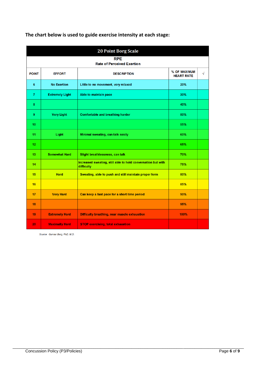| <b>20 Point Borg Scale</b>                      |                        |                                                                            |                                   |           |  |
|-------------------------------------------------|------------------------|----------------------------------------------------------------------------|-----------------------------------|-----------|--|
| <b>RPE</b><br><b>Rate of Perceived Exertion</b> |                        |                                                                            |                                   |           |  |
| <b>POINT</b>                                    | <b>EFFORT</b>          | <b>DESCRIPTION</b>                                                         | % OF MAXIMUM<br><b>HEART RATE</b> | $\sqrt{}$ |  |
| 6                                               | <b>No Exertion</b>     | Little to no movement, very relaxed                                        | 20%                               |           |  |
| $\overline{7}$                                  | <b>Extremely Light</b> | Able to maintain pace                                                      | 30%                               |           |  |
| 8                                               |                        |                                                                            | 40%                               |           |  |
| 9                                               | <b>Very Light</b>      | <b>Comfortable and breathing harder</b>                                    | 50%                               |           |  |
| 10                                              |                        |                                                                            | 55%                               |           |  |
| 11                                              | Light                  | Minimal sweating, can talk easily                                          | 60%                               |           |  |
| 12                                              |                        |                                                                            | 65%                               |           |  |
| 13                                              | <b>Somewhat Hard</b>   | Slight breathlessness, can talk                                            | 70%                               |           |  |
| 14                                              |                        | Increased sweating, still able to hold conversation but with<br>difficulty | 75%                               |           |  |
| 15                                              | <b>Hard</b>            | Sweating, able to push and still maintain proper form                      | 80%                               |           |  |
| 16                                              |                        |                                                                            | 85%                               |           |  |
| 17                                              | <b>Very Hard</b>       | Can keep a fast pace for a short time period                               | 90%                               |           |  |
| 18                                              |                        |                                                                            | 95%                               |           |  |
| 19                                              | <b>Extremely Hard</b>  | Difficulty breathing, near muscle exhaustion                               | 100%                              |           |  |
| 20                                              | <b>Maximally Hard</b>  | <b>STOP exercising, total exhaustion</b>                                   |                                   |           |  |

**The chart below is used to guide exercise intensity at each stage:**

Source: Gunnar Borg, PhD, M.D.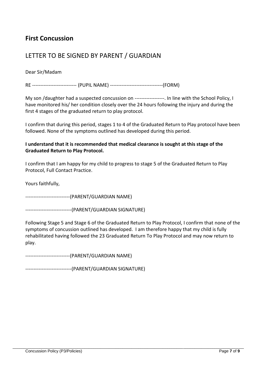## **First Concussion**

## LETTER TO BE SIGNED BY PARENT / GUARDIAN

Dear Sir/Madam

RE --------------------------- (PUPIL NAME) --------------------------------(FORM)

My son /daughter had a suspected concussion on ------------------. In line with the School Policy, I have monitored his/ her condition closely over the 24 hours following the injury and during the first 4 stages of the graduated return to play protocol.

I confirm that during this period, stages 1 to 4 of the Graduated Return to Play protocol have been followed. None of the symptoms outlined has developed during this period.

#### **I understand that it is recommended that medical clearance is sought at this stage of the Graduated Return to Play Protocol.**

I confirm that I am happy for my child to progress to stage 5 of the Graduated Return to Play Protocol, Full Contact Practice.

Yours faithfully,

---------------------------(PARENT/GUARDIAN NAME)

----------------------------(PARENT/GUARDIAN SIGNATURE)

Following Stage 5 and Stage 6 of the Graduated Return to Play Protocol, I confirm that none of the symptoms of concussion outlined has developed. I am therefore happy that my child is fully rehabilitated having followed the 23 Graduated Return To Play Protocol and may now return to play.

\_\_\_\_\_\_\_\_\_\_\_\_\_\_\_\_\_\_\_\_\_\_\_\_\_\_\_\_\_\_\_\_\_\_\_\_\_\_\_\_\_\_\_\_\_\_\_\_\_\_\_\_\_\_\_\_\_\_\_\_\_\_\_\_\_\_\_\_\_\_\_\_\_\_\_\_\_\_\_\_\_\_\_\_\_\_\_\_\_\_\_\_\_\_\_\_\_\_\_\_\_\_\_

---------------------------(PARENT/GUARDIAN NAME)

----------------------------(PARENT/GUARDIAN SIGNATURE)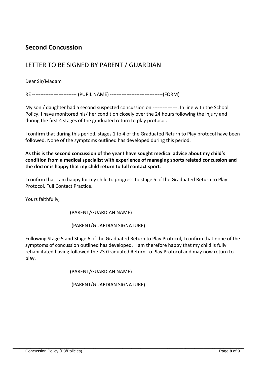## **Second Concussion**

## LETTER TO BE SIGNED BY PARENT / GUARDIAN

#### Dear Sir/Madam

RE --------------------------- (PUPIL NAME) --------------------------------(FORM)

My son / daughter had a second suspected concussion on ---------------. In line with the School Policy, I have monitored his/ her condition closely over the 24 hours following the injury and during the first 4 stages of the graduated return to play protocol.

I confirm that during this period, stages 1 to 4 of the Graduated Return to Play protocol have been followed. None of the symptoms outlined has developed during this period.

#### **As this is the second concussion of the year I have sought medical advice about my child's condition from a medical specialist with experience of managing sports related concussion and the doctor is happy that my child return to full contact sport**.

I confirm that I am happy for my child to progress to stage 5 of the Graduated Return to Play Protocol, Full Contact Practice.

Yours faithfully,

---------------------------(PARENT/GUARDIAN NAME)

----------------------------(PARENT/GUARDIAN SIGNATURE)

Following Stage 5 and Stage 6 of the Graduated Return to Play Protocol, I confirm that none of the symptoms of concussion outlined has developed. I am therefore happy that my child is fully rehabilitated having followed the 23 Graduated Return To Play Protocol and may now return to play.

\_\_\_\_\_\_\_\_\_\_\_\_\_\_\_\_\_\_\_\_\_\_\_\_\_\_\_\_\_\_\_\_\_\_\_\_\_\_\_\_\_\_\_\_\_\_\_\_\_\_\_\_\_\_\_\_\_\_\_\_\_\_\_\_\_\_\_\_\_\_\_\_\_\_\_\_\_\_\_\_\_\_\_\_\_\_\_\_\_\_\_\_\_\_\_\_\_\_\_\_\_\_\_

---------------------------(PARENT/GUARDIAN NAME)

----------------------------(PARENT/GUARDIAN SIGNATURE)